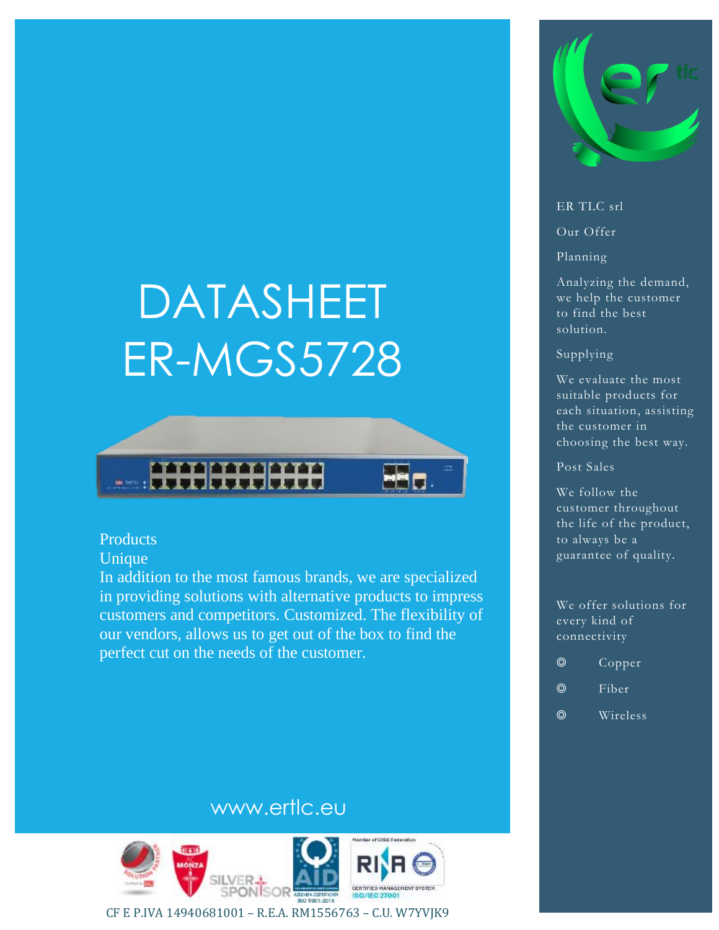# DATASHEET ER-MGS5728



# **Products**

Unique

In addition to the most famous brands, we are specialized in providing solutions with alternative products to impress customers and competitors. Customized. The flexibility of our vendors, allows us to get out of the box to find the perfect cut on the needs of the customer.



#### ER TLC srl

Our Offer

Planning

Analyzing the demand, we help the customer to find the best solution.

#### Supplying

We evaluate the most suitable products for each situation, assisting the customer in choosing the best way.

Post Sales

We follow the customer throughout the life of the product, to always be a guarantee of quality.

We offer solutions for every kind of connectivity

- ◎ Copper
- ◎ Fiber
- ◎ Wireless

# www.ertlc.eu



CF E P.IVA 14940681001 – R.E.A. RM1556763 – C.U. W7YVJK9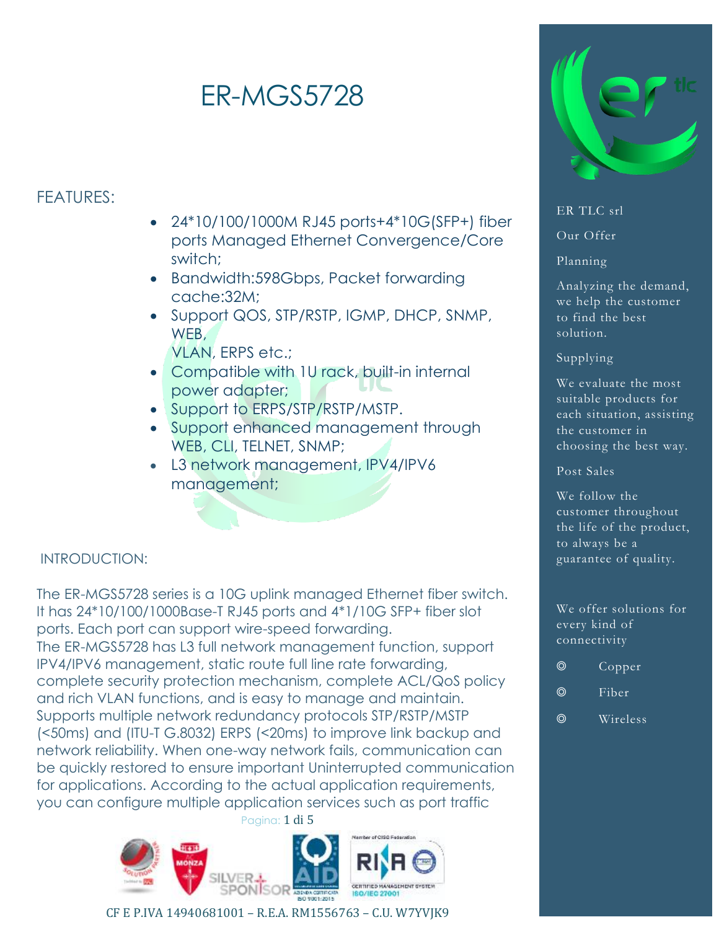# ER-MGS5728

# FEATURES:

- 24\*10/100/1000M RJ45 ports+4\*10G(SFP+) fiber ports Managed Ethernet Convergence/Core switch;
- Bandwidth:598Gbps, Packet forwarding cache:32M;
- Support QOS, STP/RSTP, IGMP, DHCP, SNMP, WEB,
	- VLAN, ERPS etc.;
- Compatible with 1U rack, built-in internal power adapter;
- Support to ERPS/STP/RSTP/MSTP.
- Support enhanced management through WEB, CLI, TELNET, SNMP;
- L3 network management, IPV4/IPV6 management;

# INTRODUCTION:

Pagina: 1 di 5 The ER-MGS5728 series is a 10G uplink managed Ethernet fiber switch. It has 24\*10/100/1000Base-T RJ45 ports and 4\*1/10G SFP+ fiber slot ports. Each port can support wire-speed forwarding. The ER-MGS5728 has L3 full network management function, support IPV4/IPV6 management, static route full line rate forwarding, complete security protection mechanism, complete ACL/QoS policy and rich VLAN functions, and is easy to manage and maintain. Supports multiple network redundancy protocols STP/RSTP/MSTP (<50ms) and (ITU-T G.8032) ERPS (<20ms) to improve link backup and network reliability. When one-way network fails, communication can be quickly restored to ensure important Uninterrupted communication for applications. According to the actual application requirements, you can configure multiple application services such as port traffic



## CF E P.IVA 14940681001 – R.E.A. RM1556763 – C.U. W7YVJK9



# ER TLC srl

Our Offer

## Planning

Analyzing the demand, we help the customer to find the best solution.

# Supplying

We evaluate the most suitable products for each situation, assisting the customer in choosing the best way.

# Post Sales

We follow the customer throughout the life of the product, to always be a guarantee of quality.

#### We offer solutions for every kind of connectivity

- ◎ Copper
- ◎ Fiber
- ◎ Wireless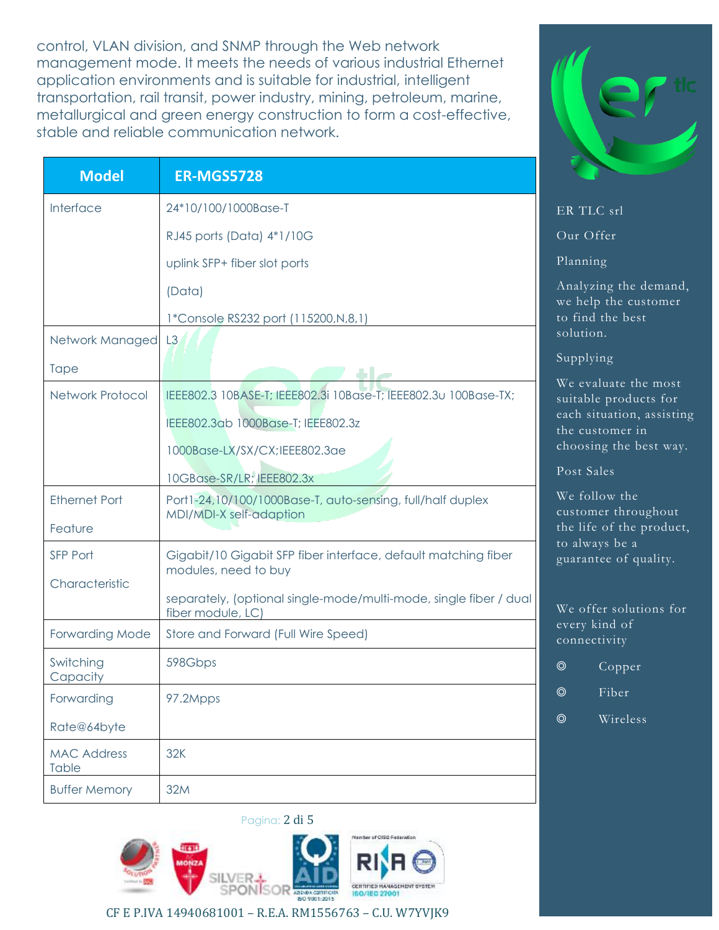control, VLAN division, and SNMP through the Web network management mode. It meets the needs of various industrial Ethernet application environments and is suitable for industrial, intelligent transportation, rail transit, power industry, mining, petroleum, marine, metallurgical and green energy construction to form a cost-effective, stable and reliable communication network.

| <b>Model</b>                | <b>ER-MGS5728</b>                                                                      |                                                                   |
|-----------------------------|----------------------------------------------------------------------------------------|-------------------------------------------------------------------|
| Interface                   | 24*10/100/1000Base-T                                                                   | ER TLC srl                                                        |
|                             | RJ45 ports (Data) 4*1/10G                                                              | Our Offer                                                         |
|                             | uplink SFP+ fiber slot ports                                                           | Planning                                                          |
|                             | (Data)<br>1*Console RS232 port (115200, N, 8, 1)                                       | Analyzing the demand,<br>we help the customer<br>to find the best |
| Network Managed L3          |                                                                                        | solution.                                                         |
| <b>Tape</b>                 |                                                                                        | Supplying                                                         |
| Network Protocol            | IEEE802.3 10BASE-T; IEEE802.3i 10Base-T; IEEE802.3u 100Base-TX;                        | We evaluate the most<br>suitable products for                     |
|                             | IEEE802.3ab 1000Base-T; IEEE802.3z                                                     | each situation, assisting<br>the customer in                      |
|                             | 1000Base-LX/SX/CX;IEEE802.3ae                                                          | choosing the best way.                                            |
|                             | 10GBase-SR/LR; IEEE802.3x                                                              | Post Sales                                                        |
| <b>Ethernet Port</b>        | Port1-24,10/100/1000Base-T, auto-sensing, full/half duplex<br>MDI/MDI-X self-adaption  | We follow the<br>customer throughout                              |
| Feature                     |                                                                                        | the life of the product,<br>to always be a                        |
| SFP Port                    | Gigabit/10 Gigabit SFP fiber interface, default matching fiber<br>modules, need to buy | guarantee of quality.                                             |
| Characteristic              | separately, (optional single-mode/multi-mode, single fiber / dual<br>fiber module, LC) | We offer solutions for                                            |
| <b>Forwarding Mode</b>      | Store and Forward (Full Wire Speed)                                                    | every kind of<br>connectivity                                     |
| Switching<br>Capacity       | 598Gbps                                                                                | $\circledcirc$<br>Copper                                          |
| Forwarding                  | 97.2Mpps                                                                               | Fiber<br>$\circledcirc$                                           |
| Rate@64byte                 |                                                                                        | Wireless<br>$\circledcirc$                                        |
| <b>MAC Address</b><br>Table | 32K                                                                                    |                                                                   |
| <b>Buffer Memory</b>        | 32M                                                                                    |                                                                   |



CF E P.IVA 14940681001 – R.E.A. RM1556763 – C.U. W7YVJK9

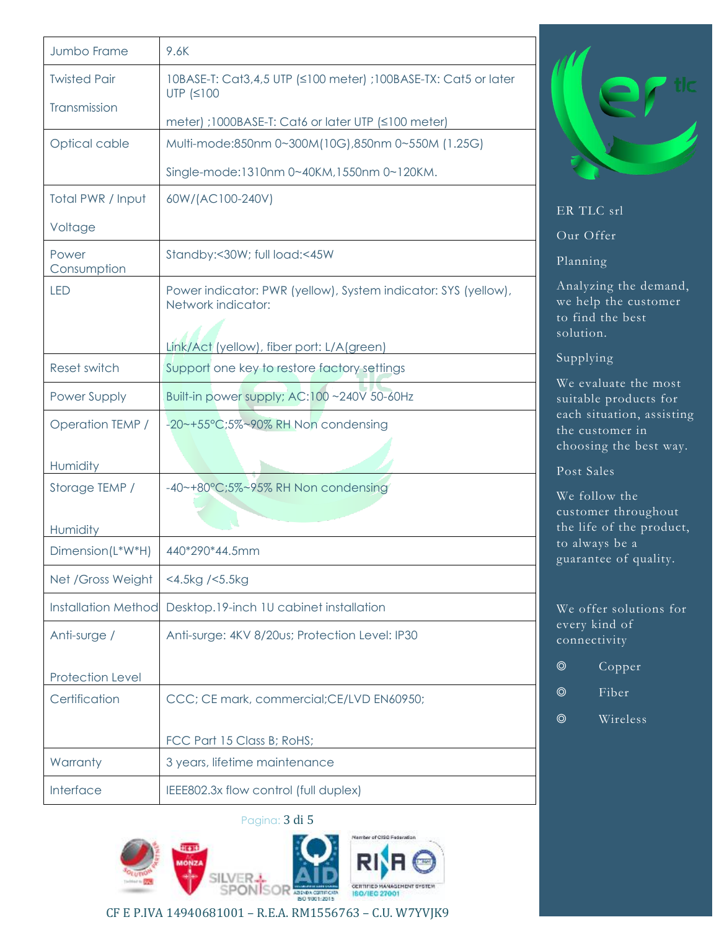| Jumbo Frame                | 9.6K                                                                                                                              |                                                                                |
|----------------------------|-----------------------------------------------------------------------------------------------------------------------------------|--------------------------------------------------------------------------------|
| <b>Twisted Pair</b>        | 10BASE-T: Cat3,4,5 UTP (≤100 meter) ;100BASE-TX: Cat5 or later<br>UTP $(≤100$                                                     |                                                                                |
| Transmission               | meter) ;1000BASE-T: Cat6 or later UTP (≤100 meter)                                                                                |                                                                                |
| Optical cable              | Multi-mode:850nm 0~300M(10G),850nm 0~550M (1.25G)                                                                                 |                                                                                |
|                            | Single-mode:1310nm 0~40KM,1550nm 0~120KM.                                                                                         |                                                                                |
| Total PWR / Input          | 60W/(AC100-240V)                                                                                                                  | ER TLC srl                                                                     |
| Voltage                    |                                                                                                                                   | Our Offer                                                                      |
| Power<br>Consumption       | Standby:<30W; full load:<45W                                                                                                      | Planning                                                                       |
| <b>LED</b>                 | Power indicator: PWR (yellow), System indicator: SYS (yellow),<br>Network indicator:<br>Link/Act (yellow), fiber port: L/A(green) | Analyzing the demand,<br>we help the customer<br>to find the best<br>solution. |
| Reset switch               | Support one key to restore factory settings                                                                                       | Supplying                                                                      |
| Power Supply               | Built-in power supply; AC:100 ~240V 50-60Hz                                                                                       | We evaluate the most<br>suitable products for                                  |
| Operation TEMP /           | -20~+55°C;5%~90% RH Non condensing                                                                                                | each situation, assisting<br>the customer in                                   |
| Humidity                   |                                                                                                                                   | choosing the best way.<br>Post Sales                                           |
| Storage TEMP /             | -40~+80°C;5%~95% RH Non condensing                                                                                                | We follow the                                                                  |
| Humidity                   |                                                                                                                                   | customer throughout<br>the life of the product,                                |
| Dimension(L*W*H)           | 440*290*44.5mm                                                                                                                    | to always be a                                                                 |
| Net / Gross Weight         | <4.5kg /<5.5kg                                                                                                                    | guarantee of quality.                                                          |
| <b>Installation Method</b> | Desktop.19-inch 1U cabinet installation                                                                                           | We offer solutions for                                                         |
| Anti-surge /               | Anti-surge: 4KV 8/20us; Protection Level: IP30                                                                                    | every kind of<br>connectivity                                                  |
| Protection Level           |                                                                                                                                   | $\circledcirc$<br>Copper                                                       |
| Certification              | CCC; CE mark, commercial; CE/LVD EN60950;                                                                                         | Fiber<br>$\circledcirc$                                                        |
|                            |                                                                                                                                   | Wireless<br>$\circledcirc$                                                     |
|                            | FCC Part 15 Class B; RoHS;                                                                                                        |                                                                                |
| Warranty                   | 3 years, lifetime maintenance                                                                                                     |                                                                                |
| Interface                  | IEEE802.3x flow control (full duplex)                                                                                             |                                                                                |





CF E P.IVA 14940681001 – R.E.A. RM1556763 – C.U. W7YVJK9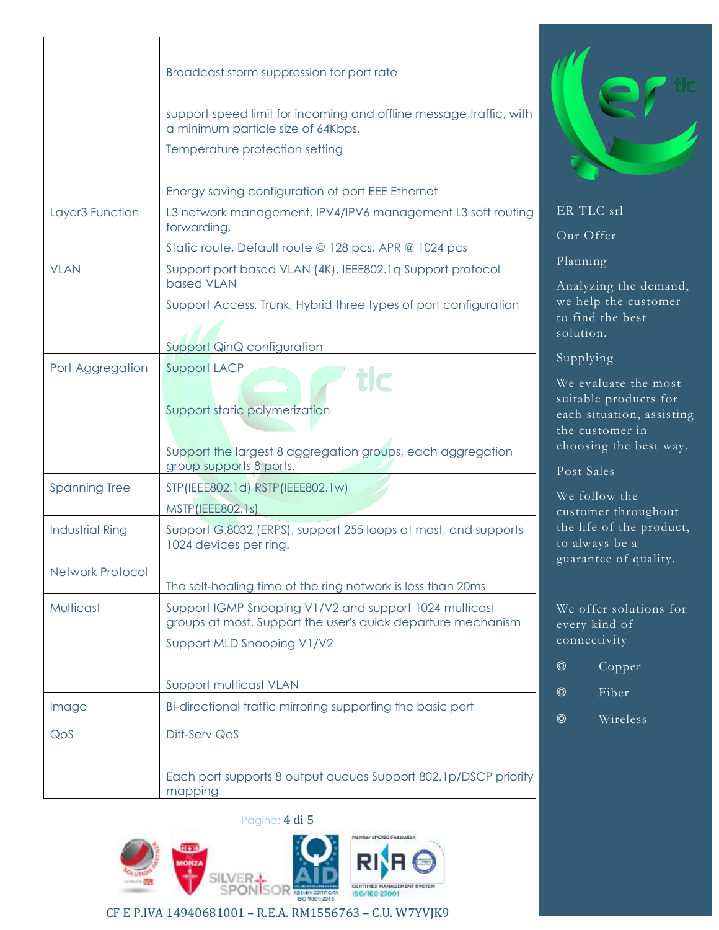|                        | Broadcast storm suppression for port rate<br>support speed limit for incoming and offline message traffic, with<br>a minimum particle size of 64Kbps.<br>Temperature protection setting |                                                                                                            |
|------------------------|-----------------------------------------------------------------------------------------------------------------------------------------------------------------------------------------|------------------------------------------------------------------------------------------------------------|
|                        | Energy saving configuration of port EEE Ethernet                                                                                                                                        |                                                                                                            |
| Layer3 Function        | L3 network management, IPV4/IPV6 management L3 soft routing<br>forwarding,                                                                                                              | ER TLC srl<br>Our Offer                                                                                    |
|                        | Static route, Default route @ 128 pcs, APR @ 1024 pcs                                                                                                                                   |                                                                                                            |
| <b>VLAN</b>            | Support port based VLAN (4K), IEEE802.1q Support protocol<br>based VLAN                                                                                                                 | Planning<br>Analyzing the demand,                                                                          |
|                        | Support Access, Trunk, Hybrid three types of port configuration                                                                                                                         | we help the customer<br>to find the best<br>solution.                                                      |
|                        | Support QinQ configuration                                                                                                                                                              |                                                                                                            |
| Port Aggregation       | Support LACP<br>tlc<br>Support static polymerization                                                                                                                                    | Supplying<br>We evaluate the most<br>suitable products for<br>each situation, assisting<br>the customer in |
|                        | Support the largest 8 aggregation groups, each aggregation<br>group supports 8 ports.                                                                                                   | choosing the best way.                                                                                     |
| <b>Spanning Tree</b>   | STP (IEEE802.1d) RSTP (IEEE802.1w)<br>MSTP(IEEE802.1s)                                                                                                                                  | Post Sales<br>We follow the<br>customer throughout                                                         |
| <b>Industrial Ring</b> | Support G.8032 (ERPS), support 255 loops at most, and supports<br>1024 devices per ring.                                                                                                | the life of the product,<br>to always be a<br>guarantee of quality.                                        |
| Network Protocol       |                                                                                                                                                                                         |                                                                                                            |
| Multicast              | The self-healing time of the ring network is less than 20ms<br>Support IGMP Snooping V1/V2 and support 1024 multicast<br>groups at most. Support the user's quick departure mechanism   | We offer solutions for<br>every kind of                                                                    |
|                        | Support MLD Snooping V1/V2                                                                                                                                                              | connectivity                                                                                               |
|                        |                                                                                                                                                                                         | $\circledcirc$<br>Copper                                                                                   |
|                        | Support multicast VLAN                                                                                                                                                                  | Fiber<br>$\circledcirc$                                                                                    |
| Image                  | Bi-directional traffic mirroring supporting the basic port                                                                                                                              | $\circledcirc$<br>Wireless                                                                                 |
| QoS                    | Diff-Serv QoS                                                                                                                                                                           |                                                                                                            |
|                        | Each port supports 8 output queues Support 802.1p/DSCP priority<br>mapping                                                                                                              |                                                                                                            |

Pagina: 4 di 5



CF E P.IVA 14940681001 – R.E.A. RM1556763 – C.U. W7YVJK9